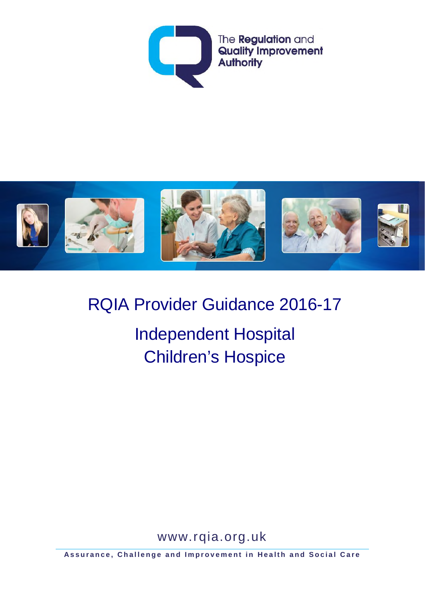



RQIA Provider Guidance 2016-17 Independent Hospital Children's Hospice

www.rqia.org.uk

**Assurance, Challenge and Improvement in Health and Social Care**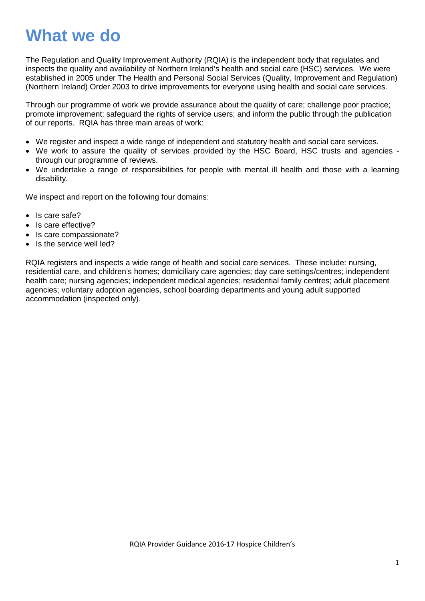# **What we do**

The Regulation and Quality Improvement Authority (RQIA) is the independent body that regulates and inspects the quality and availability of Northern Ireland's health and social care (HSC) services. We were established in 2005 under The Health and Personal Social Services (Quality, Improvement and Regulation) (Northern Ireland) Order 2003 to drive improvements for everyone using health and social care services.

Through our programme of work we provide assurance about the quality of care; challenge poor practice; promote improvement; safeguard the rights of service users; and inform the public through the publication of our reports. RQIA has three main areas of work:

- We register and inspect a wide range of independent and statutory health and social care services.
- We work to assure the quality of services provided by the HSC Board, HSC trusts and agencies through our programme of reviews.
- We undertake a range of responsibilities for people with mental ill health and those with a learning disability.

We inspect and report on the following four domains:

- Is care safe?
- Is care effective?
- Is care compassionate?
- Is the service well led?

RQIA registers and inspects a wide range of health and social care services. These include: nursing, residential care, and children's homes; domiciliary care agencies; day care settings/centres; independent health care; nursing agencies; independent medical agencies; residential family centres; adult placement agencies; voluntary adoption agencies, school boarding departments and young adult supported accommodation (inspected only).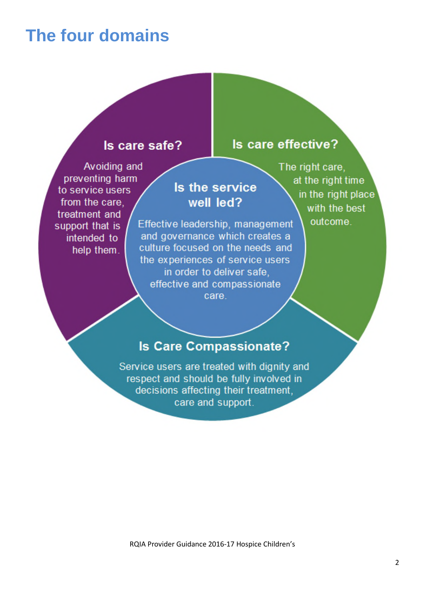## **The four domains**

### Is care safe?

Avoiding and preventing harm to service users from the care. treatment and support that is intended to help them.

### Is the service well led?

Effective leadership, management and governance which creates a culture focused on the needs and the experiences of service users in order to deliver safe. effective and compassionate care.

The right care. at the right time in the right place with the best outcome.

Is care effective?

### **Is Care Compassionate?**

Service users are treated with dignity and respect and should be fully involved in decisions affecting their treatment. care and support.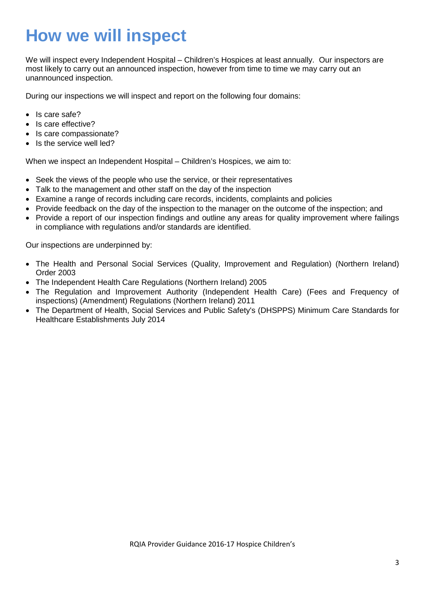# **How we will inspect**

We will inspect every Independent Hospital – Children's Hospices at least annually. Our inspectors are most likely to carry out an announced inspection, however from time to time we may carry out an unannounced inspection.

During our inspections we will inspect and report on the following four domains:

- Is care safe?
- Is care effective?
- Is care compassionate?
- Is the service well led?

When we inspect an Independent Hospital – Children's Hospices, we aim to:

- Seek the views of the people who use the service, or their representatives
- Talk to the management and other staff on the day of the inspection
- Examine a range of records including care records, incidents, complaints and policies
- Provide feedback on the day of the inspection to the manager on the outcome of the inspection; and
- Provide a report of our inspection findings and outline any areas for quality improvement where failings in compliance with regulations and/or standards are identified.

Our inspections are underpinned by:

- The Health and Personal Social Services (Quality, Improvement and Regulation) (Northern Ireland) Order 2003
- The Independent Health Care Regulations (Northern Ireland) 2005
- The Regulation and Improvement Authority (Independent Health Care) (Fees and Frequency of inspections) (Amendment) Regulations (Northern Ireland) 2011
- The Department of Health, Social Services and Public Safety's (DHSPPS) Minimum Care Standards for Healthcare Establishments July 2014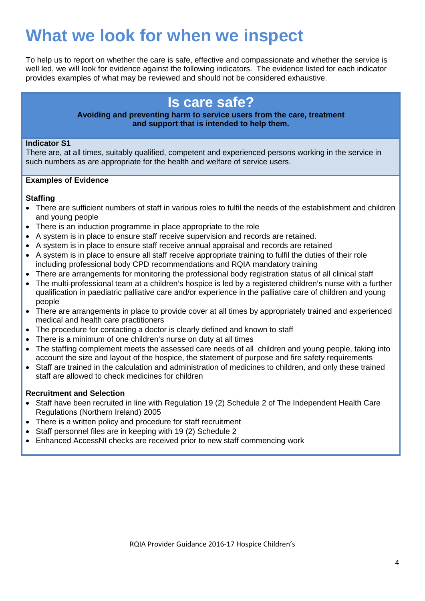# **What we look for when we inspect**

To help us to report on whether the care is safe, effective and compassionate and whether the service is well led, we will look for evidence against the following indicators. The evidence listed for each indicator provides examples of what may be reviewed and should not be considered exhaustive.

## **Is care safe?**

### **Avoiding and preventing harm to service users from the care, treatment and support that is intended to help them.**

### **Indicator S1**

There are, at all times, suitably qualified, competent and experienced persons working in the service in such numbers as are appropriate for the health and welfare of service users.

### **Examples of Evidence**

### **Staffing**

- There are sufficient numbers of staff in various roles to fulfil the needs of the establishment and children and young people
- There is an induction programme in place appropriate to the role
- A system is in place to ensure staff receive supervision and records are retained.
- A system is in place to ensure staff receive annual appraisal and records are retained
- A system is in place to ensure all staff receive appropriate training to fulfil the duties of their role including professional body CPD recommendations and RQIA mandatory training
- There are arrangements for monitoring the professional body registration status of all clinical staff
- The multi-professional team at a children's hospice is led by a registered children's nurse with a further qualification in paediatric palliative care and/or experience in the palliative care of children and young people
- There are arrangements in place to provide cover at all times by appropriately trained and experienced medical and health care practitioners
- The procedure for contacting a doctor is clearly defined and known to staff
- There is a minimum of one children's nurse on duty at all times
- The staffing complement meets the assessed care needs of all children and young people, taking into account the size and layout of the hospice, the statement of purpose and fire safety requirements
- Staff are trained in the calculation and administration of medicines to children, and only these trained staff are allowed to check medicines for children

### **Recruitment and Selection**

- Staff have been recruited in line with Regulation 19 (2) Schedule 2 of The Independent Health Care Regulations (Northern Ireland) 2005
- There is a written policy and procedure for staff recruitment
- Staff personnel files are in keeping with 19 (2) Schedule 2
- Enhanced AccessNI checks are received prior to new staff commencing work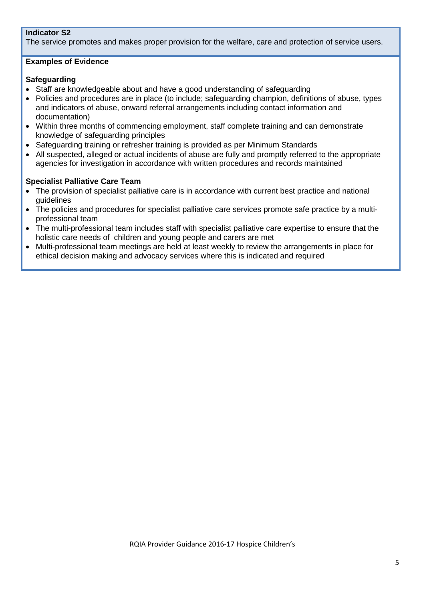### **Indicator S2**

The service promotes and makes proper provision for the welfare, care and protection of service users.

### **Examples of Evidence**

### **Safeguarding**

- Staff are knowledgeable about and have a good understanding of safeguarding
- Policies and procedures are in place (to include; safeguarding champion, definitions of abuse, types and indicators of abuse, onward referral arrangements including contact information and documentation)
- Within three months of commencing employment, staff complete training and can demonstrate knowledge of safeguarding principles
- Safeguarding training or refresher training is provided as per Minimum Standards
- All suspected, alleged or actual incidents of abuse are fully and promptly referred to the appropriate agencies for investigation in accordance with written procedures and records maintained

### **Specialist Palliative Care Team**

- The provision of specialist palliative care is in accordance with current best practice and national guidelines
- The policies and procedures for specialist palliative care services promote safe practice by a multiprofessional team
- The multi-professional team includes staff with specialist palliative care expertise to ensure that the holistic care needs of children and young people and carers are met
- Multi-professional team meetings are held at least weekly to review the arrangements in place for ethical decision making and advocacy services where this is indicated and required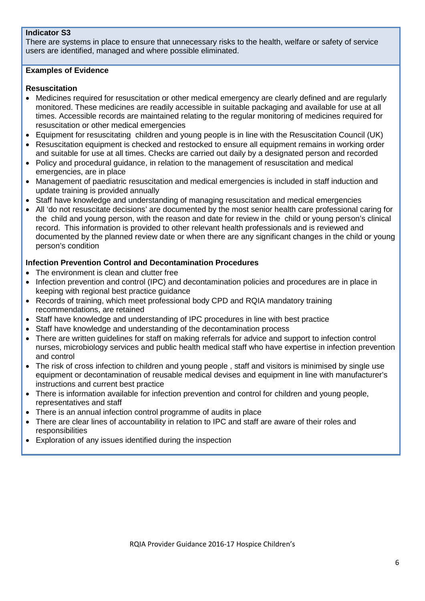### **Indicator S3**

There are systems in place to ensure that unnecessary risks to the health, welfare or safety of service users are identified, managed and where possible eliminated.

### **Examples of Evidence**

### **Resuscitation**

- Medicines required for resuscitation or other medical emergency are clearly defined and are requiarly monitored. These medicines are readily accessible in suitable packaging and available for use at all times. Accessible records are maintained relating to the regular monitoring of medicines required for resuscitation or other medical emergencies
- Equipment for resuscitating children and young people is in line with the Resuscitation Council (UK)
- Resuscitation equipment is checked and restocked to ensure all equipment remains in working order and suitable for use at all times. Checks are carried out daily by a designated person and recorded
- Policy and procedural guidance, in relation to the management of resuscitation and medical emergencies, are in place
- Management of paediatric resuscitation and medical emergencies is included in staff induction and update training is provided annually
- Staff have knowledge and understanding of managing resuscitation and medical emergencies
- All 'do not resuscitate decisions' are documented by the most senior health care professional caring for the child and young person, with the reason and date for review in the child or young person's clinical record. This information is provided to other relevant health professionals and is reviewed and documented by the planned review date or when there are any significant changes in the child or young person's condition

### **Infection Prevention Control and Decontamination Procedures**

- The environment is clean and clutter free
- Infection prevention and control (IPC) and decontamination policies and procedures are in place in keeping with regional best practice guidance
- Records of training, which meet professional body CPD and RQIA mandatory training recommendations, are retained
- Staff have knowledge and understanding of IPC procedures in line with best practice
- Staff have knowledge and understanding of the decontamination process
- There are written guidelines for staff on making referrals for advice and support to infection control nurses, microbiology services and public health medical staff who have expertise in infection prevention and control
- The risk of cross infection to children and young people, staff and visitors is minimised by single use equipment or decontamination of reusable medical devises and equipment in line with manufacturer's instructions and current best practice
- There is information available for infection prevention and control for children and young people, representatives and staff
- There is an annual infection control programme of audits in place
- There are clear lines of accountability in relation to IPC and staff are aware of their roles and responsibilities
- Exploration of any issues identified during the inspection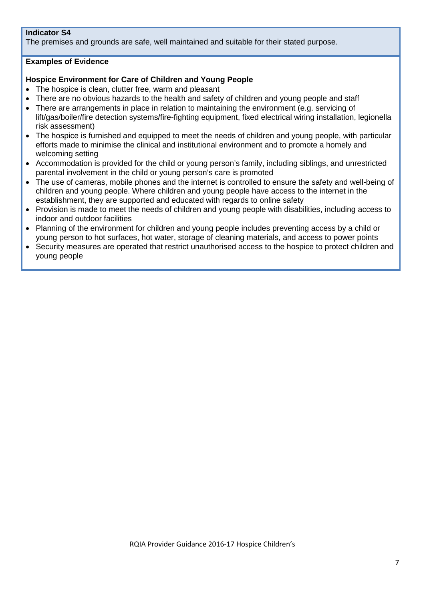### **Indicator S4**

The premises and grounds are safe, well maintained and suitable for their stated purpose.

### **Examples of Evidence**

### **Hospice Environment for Care of Children and Young People**

- The hospice is clean, clutter free, warm and pleasant
- There are no obvious hazards to the health and safety of children and young people and staff
- There are arrangements in place in relation to maintaining the environment (e.g. servicing of lift/gas/boiler/fire detection systems/fire-fighting equipment, fixed electrical wiring installation, legionella risk assessment)
- The hospice is furnished and equipped to meet the needs of children and young people, with particular efforts made to minimise the clinical and institutional environment and to promote a homely and welcoming setting
- Accommodation is provided for the child or young person's family, including siblings, and unrestricted parental involvement in the child or young person's care is promoted
- The use of cameras, mobile phones and the internet is controlled to ensure the safety and well-being of children and young people. Where children and young people have access to the internet in the establishment, they are supported and educated with regards to online safety
- Provision is made to meet the needs of children and young people with disabilities, including access to indoor and outdoor facilities
- Planning of the environment for children and young people includes preventing access by a child or young person to hot surfaces, hot water, storage of cleaning materials, and access to power points
- Security measures are operated that restrict unauthorised access to the hospice to protect children and young people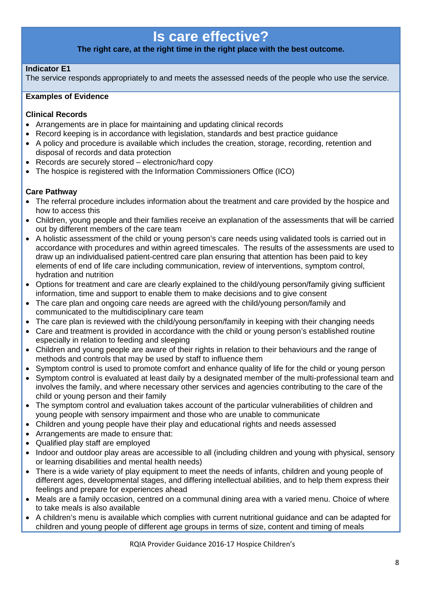## **Is care effective?**

### **The right care, at the right time in the right place with the best outcome.**

### **Indicator E1**

The service responds appropriately to and meets the assessed needs of the people who use the service.

### **Examples of Evidence**

### **Clinical Records**

- Arrangements are in place for maintaining and updating clinical records
- Record keeping is in accordance with legislation, standards and best practice guidance
- A policy and procedure is available which includes the creation, storage, recording, retention and disposal of records and data protection
- Records are securely stored electronic/hard copy
- The hospice is registered with the Information Commissioners Office (ICO)

### **Care Pathway**

- The referral procedure includes information about the treatment and care provided by the hospice and how to access this
- Children, young people and their families receive an explanation of the assessments that will be carried out by different members of the care team
- A holistic assessment of the child or young person's care needs using validated tools is carried out in accordance with procedures and within agreed timescales. The results of the assessments are used to draw up an individualised patient-centred care plan ensuring that attention has been paid to key elements of end of life care including communication, review of interventions, symptom control, hydration and nutrition
- Options for treatment and care are clearly explained to the child/young person/family giving sufficient information, time and support to enable them to make decisions and to give consent
- The care plan and ongoing care needs are agreed with the child/young person/family and communicated to the multidisciplinary care team
- The care plan is reviewed with the child/young person/family in keeping with their changing needs
- Care and treatment is provided in accordance with the child or young person's established routine especially in relation to feeding and sleeping
- Children and young people are aware of their rights in relation to their behaviours and the range of methods and controls that may be used by staff to influence them
- Symptom control is used to promote comfort and enhance quality of life for the child or young person
- Symptom control is evaluated at least daily by a designated member of the multi-professional team and involves the family, and where necessary other services and agencies contributing to the care of the child or young person and their family
- The symptom control and evaluation takes account of the particular vulnerabilities of children and young people with sensory impairment and those who are unable to communicate
- Children and young people have their play and educational rights and needs assessed
- Arrangements are made to ensure that:
- Qualified play staff are employed
- Indoor and outdoor play areas are accessible to all (including children and young with physical, sensory or learning disabilities and mental health needs)
- There is a wide variety of play equipment to meet the needs of infants, children and young people of different ages, developmental stages, and differing intellectual abilities, and to help them express their feelings and prepare for experiences ahead
- Meals are a family occasion, centred on a communal dining area with a varied menu. Choice of where to take meals is also available
- A children's menu is available which complies with current nutritional guidance and can be adapted for children and young people of different age groups in terms of size, content and timing of meals

RQIA Provider Guidance 2016-17 Hospice Children's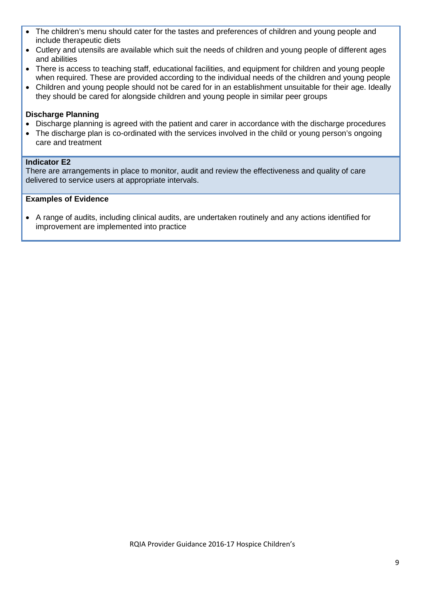- The children's menu should cater for the tastes and preferences of children and young people and include therapeutic diets
- Cutlery and utensils are available which suit the needs of children and young people of different ages and abilities
- There is access to teaching staff, educational facilities, and equipment for children and young people when required. These are provided according to the individual needs of the children and young people
- Children and young people should not be cared for in an establishment unsuitable for their age. Ideally they should be cared for alongside children and young people in similar peer groups

### **Discharge Planning**

- Discharge planning is agreed with the patient and carer in accordance with the discharge procedures
- The discharge plan is co-ordinated with the services involved in the child or young person's ongoing care and treatment

### **Indicator E2**

There are arrangements in place to monitor, audit and review the effectiveness and quality of care delivered to service users at appropriate intervals.

### **Examples of Evidence**

• A range of audits, including clinical audits, are undertaken routinely and any actions identified for improvement are implemented into practice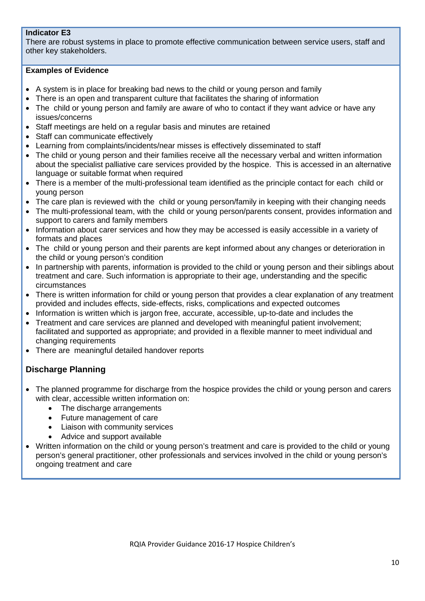### **Indicator E3**

There are robust systems in place to promote effective communication between service users, staff and other key stakeholders.

### **Examples of Evidence**

- A system is in place for breaking bad news to the child or young person and family
- There is an open and transparent culture that facilitates the sharing of information
- The child or young person and family are aware of who to contact if they want advice or have any issues/concerns
- Staff meetings are held on a regular basis and minutes are retained
- Staff can communicate effectively
- Learning from complaints/incidents/near misses is effectively disseminated to staff
- The child or young person and their families receive all the necessary verbal and written information about the specialist palliative care services provided by the hospice. This is accessed in an alternative language or suitable format when required
- There is a member of the multi-professional team identified as the principle contact for each child or young person
- The care plan is reviewed with the child or young person/family in keeping with their changing needs
- The multi-professional team, with the child or young person/parents consent, provides information and support to carers and family members
- Information about carer services and how they may be accessed is easily accessible in a variety of formats and places
- The child or young person and their parents are kept informed about any changes or deterioration in the child or young person's condition
- In partnership with parents, information is provided to the child or young person and their siblings about treatment and care. Such information is appropriate to their age, understanding and the specific circumstances
- There is written information for child or young person that provides a clear explanation of any treatment provided and includes effects, side-effects, risks, complications and expected outcomes
- Information is written which is jargon free, accurate, accessible, up-to-date and includes the
- Treatment and care services are planned and developed with meaningful patient involvement; facilitated and supported as appropriate; and provided in a flexible manner to meet individual and changing requirements
- There are meaningful detailed handover reports

### **Discharge Planning**

- The planned programme for discharge from the hospice provides the child or young person and carers with clear, accessible written information on:
	- The discharge arrangements
	- Future management of care
	- Liaison with community services
	- Advice and support available
- Written information on the child or young person's treatment and care is provided to the child or young person's general practitioner, other professionals and services involved in the child or young person's ongoing treatment and care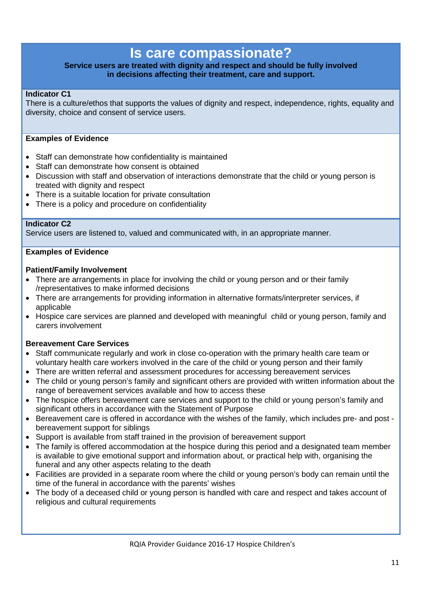## **Is care compassionate?**

### **Service users are treated with dignity and respect and should be fully involved in decisions affecting their treatment, care and support.**

### **Indicator C1**

There is a culture/ethos that supports the values of dignity and respect, independence, rights, equality and diversity, choice and consent of service users.

### **Examples of Evidence**

- Staff can demonstrate how confidentiality is maintained
- Staff can demonstrate how consent is obtained
- Discussion with staff and observation of interactions demonstrate that the child or young person is treated with dignity and respect
- There is a suitable location for private consultation
- There is a policy and procedure on confidentiality

### **Indicator C2**

Service users are listened to, valued and communicated with, in an appropriate manner.

### **Examples of Evidence**

### **Patient/Family Involvement**

- There are arrangements in place for involving the child or young person and or their family /representatives to make informed decisions
- There are arrangements for providing information in alternative formats/interpreter services, if applicable
- Hospice care services are planned and developed with meaningful child or young person, family and carers involvement

### **Bereavement Care Services**

- Staff communicate regularly and work in close co-operation with the primary health care team or voluntary health care workers involved in the care of the child or young person and their family
- There are written referral and assessment procedures for accessing bereavement services
- The child or young person's family and significant others are provided with written information about the range of bereavement services available and how to access these
- The hospice offers bereavement care services and support to the child or young person's family and significant others in accordance with the Statement of Purpose
- Bereavement care is offered in accordance with the wishes of the family, which includes pre- and post bereavement support for siblings
- Support is available from staff trained in the provision of bereavement support
- The family is offered accommodation at the hospice during this period and a designated team member is available to give emotional support and information about, or practical help with, organising the funeral and any other aspects relating to the death
- Facilities are provided in a separate room where the child or young person's body can remain until the time of the funeral in accordance with the parents' wishes
- The body of a deceased child or young person is handled with care and respect and takes account of religious and cultural requirements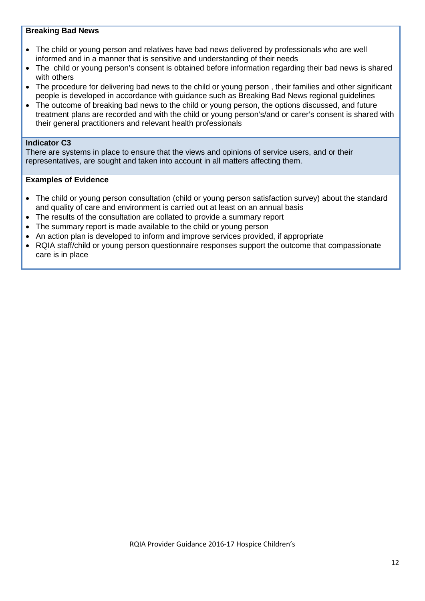### **Breaking Bad News**

- The child or young person and relatives have bad news delivered by professionals who are well informed and in a manner that is sensitive and understanding of their needs
- The child or young person's consent is obtained before information regarding their bad news is shared with others
- The procedure for delivering bad news to the child or young person , their families and other significant people is developed in accordance with guidance such as Breaking Bad News regional guidelines
- The outcome of breaking bad news to the child or young person, the options discussed, and future treatment plans are recorded and with the child or young person's/and or carer's consent is shared with their general practitioners and relevant health professionals

### **Indicator C3**

There are systems in place to ensure that the views and opinions of service users, and or their representatives, are sought and taken into account in all matters affecting them.

### **Examples of Evidence**

- The child or young person consultation (child or young person satisfaction survey) about the standard and quality of care and environment is carried out at least on an annual basis
- The results of the consultation are collated to provide a summary report
- The summary report is made available to the child or young person
- An action plan is developed to inform and improve services provided, if appropriate
- RQIA staff/child or young person questionnaire responses support the outcome that compassionate care is in place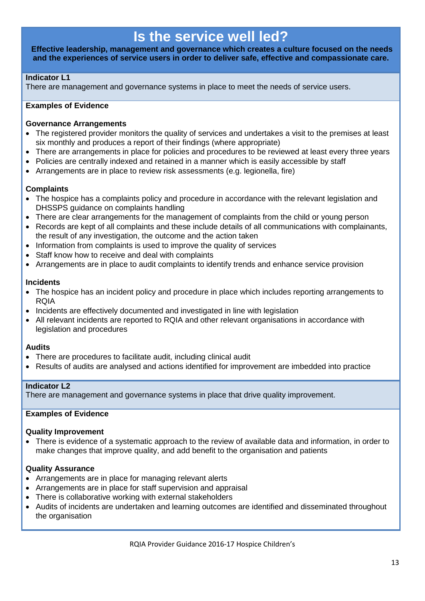## **Is the service well led?**

**Effective leadership, management and governance which creates a culture focused on the needs and the experiences of service users in order to deliver safe, effective and compassionate care.**

### **Indicator L1**

There are management and governance systems in place to meet the needs of service users.

### **Examples of Evidence**

### **Governance Arrangements**

- The registered provider monitors the quality of services and undertakes a visit to the premises at least six monthly and produces a report of their findings (where appropriate)
- There are arrangements in place for policies and procedures to be reviewed at least every three years
- Policies are centrally indexed and retained in a manner which is easily accessible by staff
- Arrangements are in place to review risk assessments (e.g. legionella, fire)

### **Complaints**

- The hospice has a complaints policy and procedure in accordance with the relevant legislation and DHSSPS guidance on complaints handling
- There are clear arrangements for the management of complaints from the child or young person
- Records are kept of all complaints and these include details of all communications with complainants, the result of any investigation, the outcome and the action taken
- Information from complaints is used to improve the quality of services
- Staff know how to receive and deal with complaints
- Arrangements are in place to audit complaints to identify trends and enhance service provision

### **Incidents**

- The hospice has an incident policy and procedure in place which includes reporting arrangements to RQIA
- Incidents are effectively documented and investigated in line with legislation
- All relevant incidents are reported to RQIA and other relevant organisations in accordance with legislation and procedures

### **Audits**

- There are procedures to facilitate audit, including clinical audit
- Results of audits are analysed and actions identified for improvement are imbedded into practice

### **Indicator L2**

There are management and governance systems in place that drive quality improvement.

### **Examples of Evidence**

### **Quality Improvement**

• There is evidence of a systematic approach to the review of available data and information, in order to make changes that improve quality, and add benefit to the organisation and patients

### **Quality Assurance**

- Arrangements are in place for managing relevant alerts
- Arrangements are in place for staff supervision and appraisal
- There is collaborative working with external stakeholders
- Audits of incidents are undertaken and learning outcomes are identified and disseminated throughout the organisation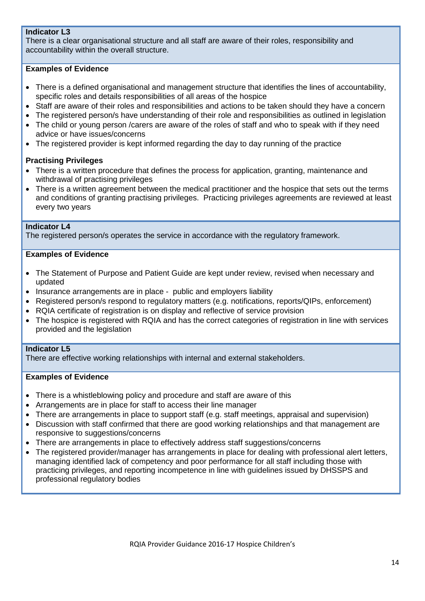### **Indicator L3**

There is a clear organisational structure and all staff are aware of their roles, responsibility and accountability within the overall structure.

### **Examples of Evidence**

- There is a defined organisational and management structure that identifies the lines of accountability, specific roles and details responsibilities of all areas of the hospice
- Staff are aware of their roles and responsibilities and actions to be taken should they have a concern
- The registered person/s have understanding of their role and responsibilities as outlined in legislation
- The child or young person /carers are aware of the roles of staff and who to speak with if they need advice or have issues/concerns
- The registered provider is kept informed regarding the day to day running of the practice

### **Practising Privileges**

- There is a written procedure that defines the process for application, granting, maintenance and withdrawal of practising privileges
- There is a written agreement between the medical practitioner and the hospice that sets out the terms and conditions of granting practising privileges. Practicing privileges agreements are reviewed at least every two years

### **Indicator L4**

The registered person/s operates the service in accordance with the regulatory framework.

### **Examples of Evidence**

- The Statement of Purpose and Patient Guide are kept under review, revised when necessary and updated
- Insurance arrangements are in place public and employers liability
- Registered person/s respond to regulatory matters (e.g. notifications, reports/QIPs, enforcement)
- RQIA certificate of registration is on display and reflective of service provision
- The hospice is registered with RQIA and has the correct categories of registration in line with services provided and the legislation

#### **Indicator L5**

There are effective working relationships with internal and external stakeholders.

### **Examples of Evidence**

- There is a whistleblowing policy and procedure and staff are aware of this
- Arrangements are in place for staff to access their line manager
- There are arrangements in place to support staff (e.g. staff meetings, appraisal and supervision)
- Discussion with staff confirmed that there are good working relationships and that management are responsive to suggestions/concerns
- There are arrangements in place to effectively address staff suggestions/concerns
- The registered provider/manager has arrangements in place for dealing with professional alert letters, managing identified lack of competency and poor performance for all staff including those with practicing privileges, and reporting incompetence in line with guidelines issued by DHSSPS and professional regulatory bodies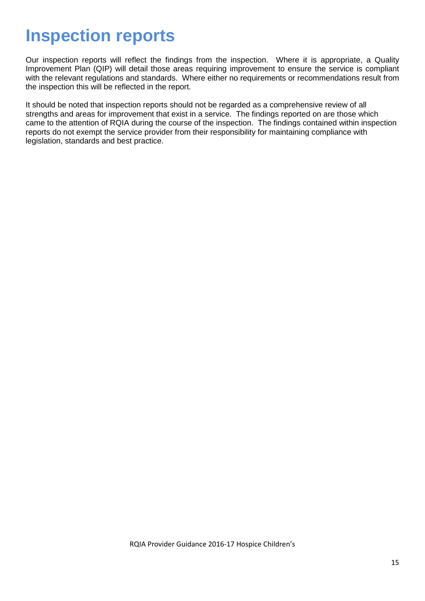# **Inspection reports**

Our inspection reports will reflect the findings from the inspection. Where it is appropriate, a Quality Improvement Plan (QIP) will detail those areas requiring improvement to ensure the service is compliant with the relevant regulations and standards. Where either no requirements or recommendations result from the inspection this will be reflected in the report.

It should be noted that inspection reports should not be regarded as a comprehensive review of all strengths and areas for improvement that exist in a service. The findings reported on are those which came to the attention of RQIA during the course of the inspection. The findings contained within inspection reports do not exempt the service provider from their responsibility for maintaining compliance with legislation, standards and best practice.